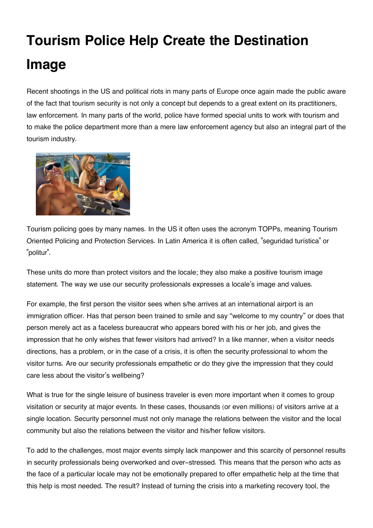## **Tourism Police Help Create the Destination Image**

Recent shootings in the US and political riots in many parts of Europe once again made the public aware of the fact that tourism security is not only a concept but depends to a great extent on its practitioners, law enforcement. In many parts of the world, police have formed special units to work with tourism and to make the police department more than a mere law enforcement agency but also an integral part of the tourism industry.



Tourism policing goes by many names. In the US it often uses the acronym TOPPs, meaning Tourism Oriented Policing and Protection Services. In Latin America it is often called, "seguridad turística" or "politur".

These units do more than protect visitors and the locale; they also make a positive tourism image statement. The way we use our security professionals expresses a locale's image and values.

For example, the first person the visitor sees when s/he arrives at an international airport is an immigration officer. Has that person been trained to smile and say "welcome to my country" or does that person merely act as a faceless bureaucrat who appears bored with his or her job, and gives the impression that he only wishes that fewer visitors had arrived? In a like manner, when a visitor needs directions, has a problem, or in the case of a crisis, it is often the security professional to whom the visitor turns. Are our security professionals empathetic or do they give the impression that they could care less about the visitor's wellbeing?

What is true for the single leisure of business traveler is even more important when it comes to group visitation or security at major events. In these cases, thousands (or even millions) of visitors arrive at a single location. Security personnel must not only manage the relations between the visitor and the local community but also the relations between the visitor and his/her fellow visitors.

To add to the challenges, most major events simply lack manpower and this scarcity of personnel results in security professionals being overworked and over-stressed. This means that the person who acts as the face of a particular locale may not be emotionally prepared to offer empathetic help at the time that this help is most needed. The result? Instead of turning the crisis into a marketing recovery tool, the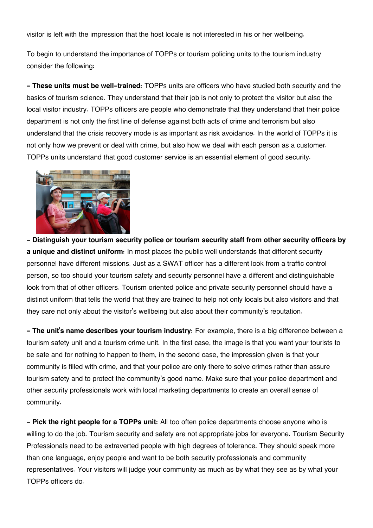visitor is left with the impression that the host locale is not interested in his or her wellbeing.

To begin to understand the importance of TOPPs or tourism policing units to the tourism industry consider the following:

**- These units must be well-trained:** TOPPs units are officers who have studied both security and the basics of tourism science. They understand that their job is not only to protect the visitor but also the local visitor industry. TOPPs officers are people who demonstrate that they understand that their police department is not only the first line of defense against both acts of crime and terrorism but also understand that the crisis recovery mode is as important as risk avoidance. In the world of TOPPs it is not only how we prevent or deal with crime, but also how we deal with each person as a customer. TOPPs units understand that good customer service is an essential element of good security.



**- Distinguish your tourism security police or tourism security staff from other security officers by a unique and distinct uniform:** In most places the public well understands that different security personnel have different missions. Just as a SWAT officer has a different look from a traffic control person, so too should your tourism safety and security personnel have a different and distinguishable look from that of other officers. Tourism oriented police and private security personnel should have a distinct uniform that tells the world that they are trained to help not only locals but also visitors and that they care not only about the visitor's wellbeing but also about their community's reputation.

**- The unit's name describes your tourism industry:** For example, there is a big difference between a tourism safety unit and a tourism crime unit. In the first case, the image is that you want your tourists to be safe and for nothing to happen to them, in the second case, the impression given is that your community is filled with crime, and that your police are only there to solve crimes rather than assure tourism safety and to protect the community's good name. Make sure that your police department and other security professionals work with local marketing departments to create an overall sense of community.

**- Pick the right people for a TOPPs unit:** All too often police departments choose anyone who is willing to do the job. Tourism security and safety are not appropriate jobs for everyone. Tourism Security Professionals need to be extraverted people with high degrees of tolerance. They should speak more than one language, enjoy people and want to be both security professionals and community representatives. Your visitors will judge your community as much as by what they see as by what your TOPPs officers do.